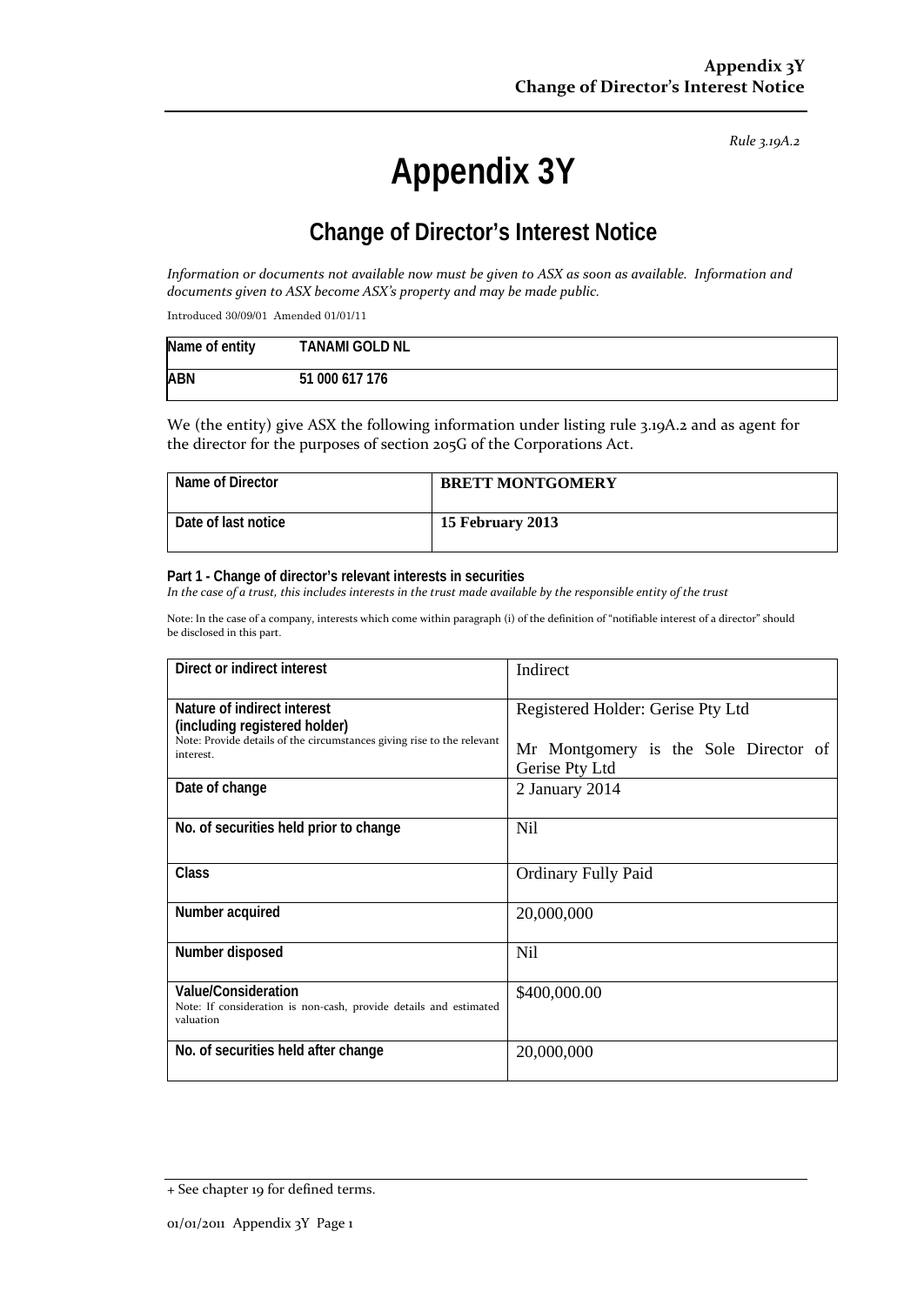*Rule 3.19A.2*

# **Appendix 3Y**

# **Change of Director's Interest Notice**

*Information or documents not available now must be given to ASX as soon as available. Information and documents given to ASX become ASX's property and may be made public.*

Introduced 30/09/01 Amended 01/01/11

| Name of entity | <b>TANAMI GOLD NL</b> |
|----------------|-----------------------|
| <b>ABN</b>     | 51 000 617 176        |

We (the entity) give ASX the following information under listing rule 3.19A.2 and as agent for the director for the purposes of section 205G of the Corporations Act.

| Name of Director    | <b>BRETT MONTGOMERY</b> |
|---------------------|-------------------------|
| Date of last notice | 15 February 2013        |

#### **Part 1 - Change of director's relevant interests in securities**

*In the case of a trust, this includes interests in the trust made available by the responsible entity of the trust*

Note: In the case of a company, interests which come within paragraph (i) of the definition of "notifiable interest of a director" should be disclosed in this part.

| Direct or indirect interest                                                                                                            | Indirect                                                |  |
|----------------------------------------------------------------------------------------------------------------------------------------|---------------------------------------------------------|--|
| Nature of indirect interest<br>(including registered holder)<br>Note: Provide details of the circumstances giving rise to the relevant | Registered Holder: Gerise Pty Ltd                       |  |
| interest.                                                                                                                              | Mr Montgomery is the Sole Director of<br>Gerise Pty Ltd |  |
| Date of change                                                                                                                         | 2 January 2014                                          |  |
| No. of securities held prior to change                                                                                                 | Nil                                                     |  |
| Class                                                                                                                                  | <b>Ordinary Fully Paid</b>                              |  |
| Number acquired                                                                                                                        | 20,000,000                                              |  |
| Number disposed                                                                                                                        | Nil                                                     |  |
| Value/Consideration<br>Note: If consideration is non-cash, provide details and estimated<br>valuation                                  | \$400,000.00                                            |  |
| No. of securities held after change                                                                                                    | 20,000,000                                              |  |

<sup>+</sup> See chapter 19 for defined terms.